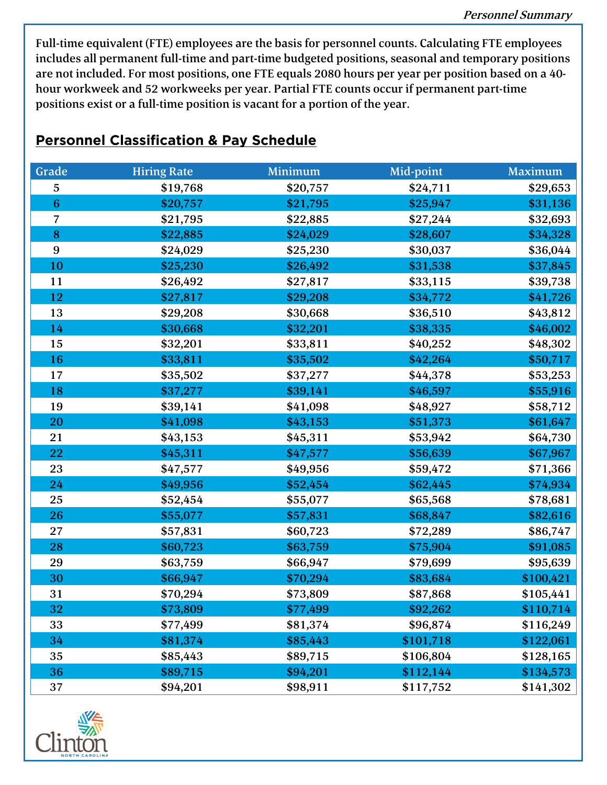Full-time equivalent (FTE) employees are the basis for personnel counts. Calculating FTE employees includes all permanent full-time and part-time budgeted positions, seasonal and temporary positions are not included. For most positions, one FTE equals 2080 hours per year per position based on a 40 hour workweek and 52 workweeks per year. Partial FTE counts occur if permanent part-time positions exist or a full-time position is vacant for a portion of the year.

## **Personnel Classification & Pay Schedule**

| Grade           | <b>Hiring Rate</b> | Minimum  | Mid-point | Maximum   |
|-----------------|--------------------|----------|-----------|-----------|
| 5               | \$19,768           | \$20,757 | \$24,711  | \$29,653  |
| $6\phantom{1}6$ | \$20,757           | \$21,795 | \$25,947  | \$31,136  |
| $\overline{7}$  | \$21,795           | \$22,885 | \$27,244  | \$32,693  |
| ${\bf 8}$       | \$22,885           | \$24,029 | \$28,607  | \$34,328  |
| 9               | \$24,029           | \$25,230 | \$30,037  | \$36,044  |
| 10              | \$25,230           | \$26,492 | \$31,538  | \$37,845  |
| 11              | \$26,492           | \$27,817 | \$33,115  | \$39,738  |
| 12              | \$27,817           | \$29,208 | \$34,772  | \$41,726  |
| 13              | \$29,208           | \$30,668 | \$36,510  | \$43,812  |
| 14              | \$30,668           | \$32,201 | \$38,335  | \$46,002  |
| 15              | \$32,201           | \$33,811 | \$40,252  | \$48,302  |
| 16              | \$33,811           | \$35,502 | \$42,264  | \$50,717  |
| 17              | \$35,502           | \$37,277 | \$44,378  | \$53,253  |
| 18              | \$37,277           | \$39,141 | \$46,597  | \$55,916  |
| 19              | \$39,141           | \$41,098 | \$48,927  | \$58,712  |
| 20              | \$41,098           | \$43,153 | \$51,373  | \$61,647  |
| 21              | \$43,153           | \$45,311 | \$53,942  | \$64,730  |
| 22              | \$45,311           | \$47,577 | \$56,639  | \$67,967  |
| 23              | \$47,577           | \$49,956 | \$59,472  | \$71,366  |
| 24              | \$49,956           | \$52,454 | \$62,445  | \$74,934  |
| 25              | \$52,454           | \$55,077 | \$65,568  | \$78,681  |
| 26              | \$55,077           | \$57,831 | \$68,847  | \$82,616  |
| 27              | \$57,831           | \$60,723 | \$72,289  | \$86,747  |
| 28              | \$60,723           | \$63,759 | \$75,904  | \$91,085  |
| 29              | \$63,759           | \$66,947 | \$79,699  | \$95,639  |
| 30              | \$66,947           | \$70,294 | \$83,684  | \$100,421 |
| 31              | \$70,294           | \$73,809 | \$87,868  | \$105,441 |
| 32              | \$73,809           | \$77,499 | \$92,262  | \$110,714 |
| 33              | \$77,499           | \$81,374 | \$96,874  | \$116,249 |
| 34              | \$81,374           | \$85,443 | \$101,718 | \$122,061 |
| 35              | \$85,443           | \$89,715 | \$106,804 | \$128,165 |
| 36              | \$89,715           | \$94,201 | \$112,144 | \$134,573 |
| 37              | \$94,201           | \$98,911 | \$117,752 | \$141,302 |

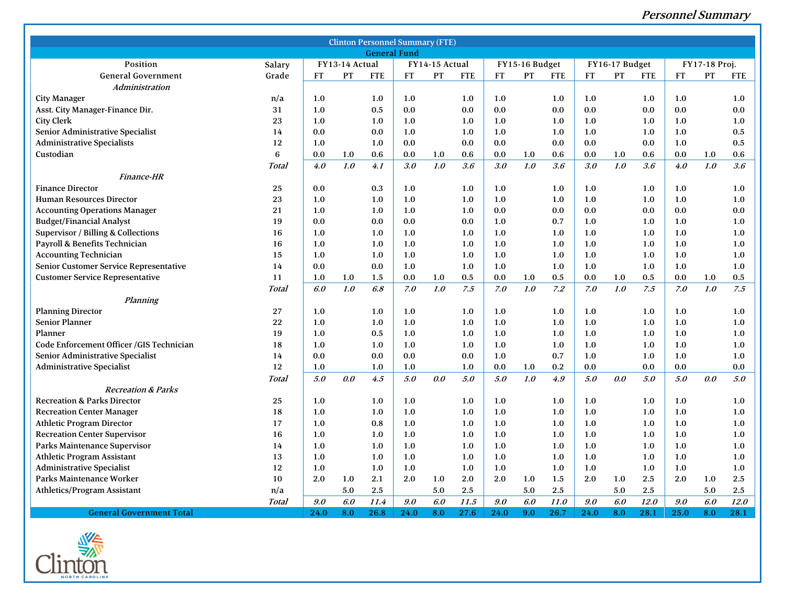Personnel Summary

|                                               |              |                                  |     | <b>Clinton Personnel Summary (FTE)</b> |           |     |            |           |                |            |           |                |            |               |     |            |  |
|-----------------------------------------------|--------------|----------------------------------|-----|----------------------------------------|-----------|-----|------------|-----------|----------------|------------|-----------|----------------|------------|---------------|-----|------------|--|
| <b>General Fund</b>                           |              |                                  |     |                                        |           |     |            |           |                |            |           |                |            |               |     |            |  |
| Position                                      | Salary       | FY13-14 Actual<br>FY14-15 Actual |     |                                        |           |     |            |           | FY15-16 Budget |            |           | FY16-17 Budget |            | FY17-18 Proj. |     |            |  |
| <b>General Government</b>                     | Grade        | <b>FT</b>                        | PT  | <b>FTE</b>                             | <b>FT</b> | PT  | <b>FTE</b> | <b>FT</b> | PT             | <b>FTE</b> | <b>FT</b> | PT             | <b>FTE</b> | <b>FT</b>     | PT  | <b>FTE</b> |  |
| Administration                                |              |                                  |     |                                        |           |     |            |           |                |            |           |                |            |               |     |            |  |
| City Manager                                  | n/a          | 1.0                              |     | 1.0                                    | 1.0       |     | 1.0        | 1.0       |                | 1.0        | 1.0       |                | 1.0        | 1.0           |     | 1.0        |  |
| Asst. City Manager-Finance Dir.               | 31           | 1.0                              |     | 0.5                                    | 0.0       |     | 0.0        | 0.0       |                | 0.0        | $0.0\,$   |                | 0.0        | 0.0           |     | $0.0\,$    |  |
| City Clerk                                    | 23           | 1.0                              |     | 1.0                                    | 1.0       |     | 1.0        | 1.0       |                | 1.0        | 1.0       |                | 1.0        | 1.0           |     | 1.0        |  |
| Senior Administrative Specialist              | 14           | 0.0                              |     | 0.0                                    | 1.0       |     | 1.0        | 1.0       |                | 1.0        | 1.0       |                | 1.0        | 1.0           |     | 0.5        |  |
| <b>Administrative Specialists</b>             | 12           | 1.0                              |     | 1.0                                    | 0.0       |     | 0.0        | 0.0       |                | 0.0        | 0.0       |                | 0.0        | 1.0           |     | 0.5        |  |
| Custodian                                     | 6            | 0.0                              | 1.0 | 0.6                                    | 0.0       | 1.0 | 0.6        | 0.0       | 1.0            | 0.6        | $0.0\,$   | 1.0            | $0.6\,$    | 0.0           | 1.0 | 0.6        |  |
|                                               | <b>Total</b> | 4.0                              | 1.0 | 4.1                                    | 3.0       | 1.0 | 3.6        | 3.0       | 1.0            | 3.6        | 3.0       | 1.0            | 3.6        | 4.0           | 1.0 | 3.6        |  |
| <b>Finance-HR</b>                             |              |                                  |     |                                        |           |     |            |           |                |            |           |                |            |               |     |            |  |
| <b>Finance Director</b>                       | 25           | 0.0                              |     | 0.3                                    | 1.0       |     | 1.0        | 1.0       |                | 1.0        | 1.0       |                | 1.0        | 1.0           |     | 1.0        |  |
| <b>Human Resources Director</b>               | 23           | 1.0                              |     | 1.0                                    | 1.0       |     | 1.0        | 1.0       |                | 1.0        | 1.0       |                | 1.0        | 1.0           |     | 1.0        |  |
| <b>Accounting Operations Manager</b>          | 21           | 1.0                              |     | 1.0                                    | 1.0       |     | 1.0        | 0.0       |                | 0.0        | 0.0       |                | 0.0        | 0.0           |     | 0.0        |  |
| <b>Budget/Financial Analyst</b>               | 19           | 0.0                              |     | 0.0                                    | 0.0       |     | 0.0        | 1.0       |                | 0.7        | 1.0       |                | 1.0        | 1.0           |     | 1.0        |  |
| <b>Supervisor / Billing &amp; Collections</b> | 16           | 1.0                              |     | 1.0                                    | 1.0       |     | 1.0        | 1.0       |                | 1.0        | 1.0       |                | 1.0        | 1.0           |     | 1.0        |  |
| Payroll & Benefits Technician                 | 16           | 1.0                              |     | 1.0                                    | 1.0       |     | 1.0        | 1.0       |                | 1.0        | 1.0       |                | 1.0        | 1.0           |     | 1.0        |  |
| <b>Accounting Technician</b>                  | 15           | 1.0                              |     | 1.0                                    | 1.0       |     | 1.0        | 1.0       |                | 1.0        | 1.0       |                | 1.0        | 1.0           |     | 1.0        |  |
| Senior Customer Service Representative        | 14           | 0.0                              |     | 0.0                                    | 1.0       |     | 1.0        | 1.0       |                | 1.0        | 1.0       |                | 1.0        | 1.0           |     | 1.0        |  |
| <b>Customer Service Representative</b>        | 11           | 1.0                              | 1.0 | 1.5                                    | 0.0       | 1.0 | 0.5        | 0.0       | 1.0            | 0.5        | 0.0       | 1.0            | 0.5        | 0.0           | 1.0 | 0.5        |  |
|                                               | Total        | 6.0                              | 1.0 | 6.8                                    | 7.0       | 1.0 | 7.5        | 7.0       | 1.0            | 7.2        | 7.0       | 1.0            | 7.5        | 7.0           | 1.0 | 7.5        |  |
| Planning                                      |              |                                  |     |                                        |           |     |            |           |                |            |           |                |            |               |     |            |  |
| <b>Planning Director</b>                      | 27           | 1.0                              |     | 1.0                                    | 1.0       |     | 1.0        | 1.0       |                | 1.0        | 1.0       |                | 1.0        | 1.0           |     | 1.0        |  |
| <b>Senior Planner</b>                         | 22           | 1.0                              |     | 1.0                                    | 1.0       |     | 1.0        | 1.0       |                | 1.0        | 1.0       |                | 1.0        | 1.0           |     | 1.0        |  |
| Planner                                       | 19           | 1.0                              |     | 0.5                                    | 1.0       |     | 1.0        | 1.0       |                | 1.0        | 1.0       |                | 1.0        | 1.0           |     | 1.0        |  |
| Code Enforcement Officer /GIS Technician      | 18           | 1.0                              |     | 1.0                                    | 1.0       |     | 1.0        | 1.0       |                | 1.0        | 1.0       |                | 1.0        | 1.0           |     | 1.0        |  |
| Senior Administrative Specialist              | 14           | 0.0                              |     | 0.0                                    | 0.0       |     | 0.0        | 1.0       |                | 0.7        | 1.0       |                | 1.0        | 1.0           |     | 1.0        |  |
| <b>Administrative Specialist</b>              | 12           | 1.0                              |     | 1.0                                    | 1.0       |     | 1.0        | 0.0       | 1.0            | 0.2        | 0.0       |                | 0.0        | 0.0           |     | 0.0        |  |
|                                               | Total        | 5.0                              | 0.0 | 4.5                                    | 5.0       | 0.0 | 5.0        | 5.0       | 1.0            | 4.9        | 5.0       | 0.0            | 5.0        | 5.0           | 0.0 | 5.0        |  |
| <b>Recreation &amp; Parks</b>                 |              |                                  |     |                                        |           |     |            |           |                |            |           |                |            |               |     |            |  |
| <b>Recreation &amp; Parks Director</b>        | 25           | 1.0                              |     | 1.0                                    | 1.0       |     | 1.0        | 1.0       |                | 1.0        | 1.0       |                | 1.0        | 1.0           |     | 1.0        |  |
| <b>Recreation Center Manager</b>              | 18           | 1.0                              |     | 1.0                                    | 1.0       |     | 1.0        | $1.0\,$   |                | $1.0\,$    | 1.0       |                | 1.0        | 1.0           |     | 1.0        |  |
| <b>Athletic Program Director</b>              | 17           | 1.0                              |     | 0.8                                    | 1.0       |     | 1.0        | 1.0       |                | 1.0        | 1.0       |                | 1.0        | 1.0           |     | 1.0        |  |
| <b>Recreation Center Supervisor</b>           | 16           | 1.0                              |     | 1.0                                    | 1.0       |     | 1.0        | 1.0       |                | 1.0        | 1.0       |                | 1.0        | 1.0           |     | 1.0        |  |
| Parks Maintenance Supervisor                  | 14           | 1.0                              |     | 1.0                                    | 1.0       |     | 1.0        | 1.0       |                | 1.0        | 1.0       |                | 1.0        | 1.0           |     | 1.0        |  |
| <b>Athletic Program Assistant</b>             | 13           | 1.0                              |     | 1.0                                    | 1.0       |     | 1.0        | 1.0       |                | 1.0        | 1.0       |                | 1.0        | 1.0           |     | 1.0        |  |
| <b>Administrative Specialist</b>              | 12           | 1.0                              |     | 1.0                                    | 1.0       |     | 1.0        | 1.0       |                | 1.0        | 1.0       |                | 1.0        | 1.0           |     | 1.0        |  |
| Parks Maintenance Worker                      | 10           | 2.0                              | 1.0 | 2.1                                    | 2.0       | 1.0 | 2.0        | 2.0       | 1.0            | 1.5        | 2.0       | 1.0            | $2.5\,$    | 2.0           | 1.0 | 2.5        |  |
| Athletics/Program Assistant                   | n/a          |                                  | 5.0 | 2.5                                    |           | 5.0 | 2.5        |           | 5.0            | $2.5\,$    |           | 5.0            | $2.5\,$    |               | 5.0 | $2.5\,$    |  |
|                                               | <b>Total</b> | 9.0                              | 6.0 | 11.4                                   | 9.0       | 6.0 | 11.5       | 9.0       | 6.0            | $11.0$     | 9.0       | 6.0            | 12.0       | 9.0           | 6.0 | 12.0       |  |
| <b>General Government Total</b>               |              | 24.0                             | 8.0 | 26.8                                   | 24.0      | 8.0 | 27.6       | 24.0      | 9.0            | 26.7       | 24.0      | 8.0            | 28.1       | 25.0          | 8.0 | 28.1       |  |

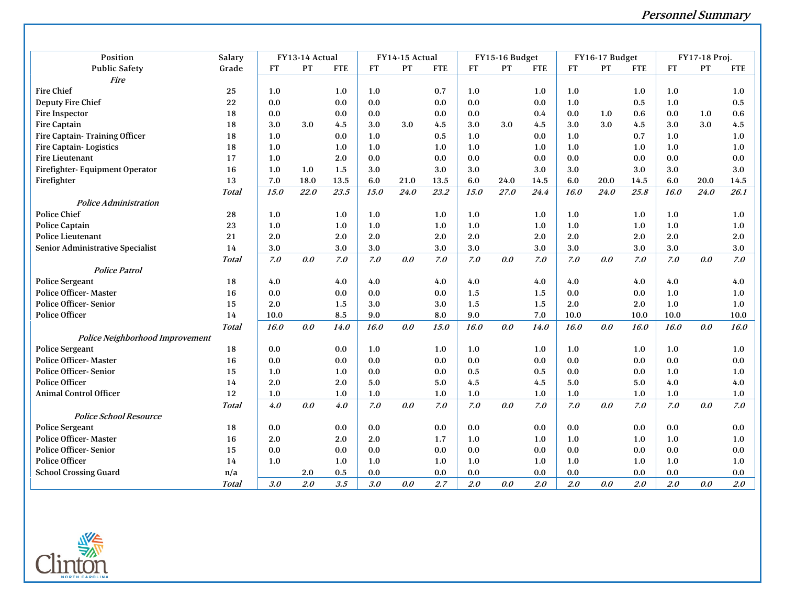| Position                         | Salary       |           | FY13-14 Actual |            | FY14-15 Actual |      |            |           | FY15-16 Budget |            |           | FY16-17 Budget |            | FY17-18 Proj. |         |            |
|----------------------------------|--------------|-----------|----------------|------------|----------------|------|------------|-----------|----------------|------------|-----------|----------------|------------|---------------|---------|------------|
| <b>Public Safety</b>             | Grade        | <b>FT</b> | PT             | <b>FTE</b> | <b>FT</b>      | PT   | <b>FTE</b> | <b>FT</b> | PT             | <b>FTE</b> | <b>FT</b> | PT             | <b>FTE</b> | FT            | PT      | <b>FTE</b> |
| <b>Fire</b>                      |              |           |                |            |                |      |            |           |                |            |           |                |            |               |         |            |
| <b>Fire Chief</b>                | 25           | 1.0       |                | 1.0        | 1.0            |      | 0.7        | 1.0       |                | 1.0        | 1.0       |                | 1.0        | 1.0           |         | 1.0        |
| Deputy Fire Chief                | 22           | 0.0       |                | 0.0        | 0.0            |      | 0.0        | 0.0       |                | 0.0        | 1.0       |                | 0.5        | 1.0           |         | 0.5        |
| <b>Fire Inspector</b>            | 18           | 0.0       |                | 0.0        | 0.0            |      | 0.0        | $0.0\,$   |                | $0.4\,$    | 0.0       | 1.0            | 0.6        | 0.0           | 1.0     | 0.6        |
| <b>Fire Captain</b>              | 18           | 3.0       | 3.0            | 4.5        | 3.0            | 3.0  | 4.5        | $3.0\,$   | 3.0            | 4.5        | 3.0       | 3.0            | 4.5        | 3.0           | $3.0\,$ | 4.5        |
| Fire Captain-Training Officer    | 18           | 1.0       |                | 0.0        | 1.0            |      | 0.5        | 1.0       |                | 0.0        | 1.0       |                | 0.7        | 1.0           |         | 1.0        |
| <b>Fire Captain-Logistics</b>    | 18           | 1.0       |                | 1.0        | 1.0            |      | 1.0        | 1.0       |                | 1.0        | 1.0       |                | 1.0        | 1.0           |         | 1.0        |
| <b>Fire Lieutenant</b>           | 17           | 1.0       |                | 2.0        | 0.0            |      | 0.0        | 0.0       |                | 0.0        | 0.0       |                | 0.0        | 0.0           |         | 0.0        |
| Firefighter-Equipment Operator   | 16           | 1.0       | 1.0            | 1.5        | 3.0            |      | 3.0        | 3.0       |                | 3.0        | 3.0       |                | 3.0        | 3.0           |         | $3.0\,$    |
| Firefighter                      | 13           | 7.0       | 18.0           | 13.5       | 6.0            | 21.0 | 13.5       | 6.0       | 24.0           | 14.5       | 6.0       | 20.0           | 14.5       | 6.0           | 20.0    | 14.5       |
|                                  | <b>Total</b> | 15.0      | 22.0           | 23.5       | 15.0           | 24.0 | 23.2       | 15.0      | 27.0           | 24.4       | 16.0      | 24.0           | 25.8       | 16.0          | 24.0    | 26.1       |
| Police Administration            |              |           |                |            |                |      |            |           |                |            |           |                |            |               |         |            |
| <b>Police Chief</b>              | 28           | 1.0       |                | 1.0        | 1.0            |      | 1.0        | 1.0       |                | 1.0        | 1.0       |                | 1.0        | 1.0           |         | 1.0        |
| <b>Police Captain</b>            | 23           | 1.0       |                | 1.0        | 1.0            |      | 1.0        | 1.0       |                | 1.0        | 1.0       |                | 1.0        | 1.0           |         | 1.0        |
| <b>Police Lieutenant</b>         | 21           | 2.0       |                | 2.0        | 2.0            |      | 2.0        | 2.0       |                | 2.0        | 2.0       |                | 2.0        | 2.0           |         | 2.0        |
| Senior Administrative Specialist | 14           | 3.0       |                | 3.0        | $3.0\,$        |      | 3.0        | $3.0\,$   |                | 3.0        | $3.0\,$   |                | 3.0        | $3.0\,$       |         | 3.0        |
|                                  | <b>Total</b> | 7.0       | 0.0            | 7.0        | 7.0            | 0.0  | 7.0        | 7.0       | 0.0            | 7.0        | 7.0       | 0.0            | 7.0        | 7.0           | 0.0     | 7.0        |
| <b>Police Patrol</b>             |              |           |                |            |                |      |            |           |                |            |           |                |            |               |         |            |
| <b>Police Sergeant</b>           | 18           | 4.0       |                | 4.0        | 4.0            |      | 4.0        | 4.0       |                | 4.0        | 4.0       |                | 4.0        | 4.0           |         | 4.0        |
| <b>Police Officer-Master</b>     | 16           | 0.0       |                | 0.0        | 0.0            |      | 0.0        | 1.5       |                | 1.5        | 0.0       |                | 0.0        | 1.0           |         | 1.0        |
| <b>Police Officer-Senior</b>     | 15           | 2.0       |                | 1.5        | 3.0            |      | 3.0        | 1.5       |                | 1.5        | 2.0       |                | 2.0        | 1.0           |         | 1.0        |
| <b>Police Officer</b>            | 14           | 10.0      |                | 8.5        | 9.0            |      | 8.0        | 9.0       |                | 7.0        | 10.0      |                | 10.0       | 10.0          |         | 10.0       |
|                                  | <b>Total</b> | 16.0      | 0.0            | 14.0       | 16.0           | 0.0  | 15.0       | 16.0      | 0.0            | 14.0       | 16.0      | 0.0            | 16.0       | 16.0          | 0.0     | 16.0       |
| Police Neighborhood Improvement  |              |           |                |            |                |      |            |           |                |            |           |                |            |               |         |            |
| <b>Police Sergeant</b>           | 18           | 0.0       |                | 0.0        | 1.0            |      | 1.0        | 1.0       |                | 1.0        | 1.0       |                | 1.0        | 1.0           |         | 1.0        |
| <b>Police Officer-Master</b>     | 16           | 0.0       |                | 0.0        | 0.0            |      | 0.0        | 0.0       |                | 0.0        | 0.0       |                | 0.0        | 0.0           |         | 0.0        |
| <b>Police Officer-Senior</b>     | 15           | 1.0       |                | 1.0        | 0.0            |      | 0.0        | 0.5       |                | 0.5        | 0.0       |                | 0.0        | 1.0           |         | 1.0        |
| <b>Police Officer</b>            | 14           | 2.0       |                | 2.0        | 5.0            |      | 5.0        | 4.5       |                | 4.5        | 5.0       |                | 5.0        | 4.0           |         | 4.0        |
| <b>Animal Control Officer</b>    | 12           | 1.0       |                | $1.0\,$    | 1.0            |      | 1.0        | 1.0       |                | 1.0        | 1.0       |                | 1.0        | $1.0$         |         | 1.0        |
|                                  | <b>Total</b> | 4.0       | 0.0            | 4.0        | 7.0            | 0.0  | 7.0        | 7.0       | 0.0            | 7.0        | 7.0       | 0.0            | 7.0        | 7.0           | 0.0     | 7.0        |
| <b>Police School Resource</b>    |              |           |                |            |                |      |            |           |                |            |           |                |            |               |         |            |
| <b>Police Sergeant</b>           | 18           | 0.0       |                | 0.0        | 0.0            |      | 0.0        | 0.0       |                | $0.0\,$    | 0.0       |                | 0.0        | 0.0           |         | 0.0        |
| <b>Police Officer-Master</b>     | 16           | 2.0       |                | 2.0        | 2.0            |      | 1.7        | 1.0       |                | 1.0        | 1.0       |                | 1.0        | 1.0           |         | 1.0        |
| <b>Police Officer-Senior</b>     | 15           | 0.0       |                | 0.0        | 0.0            |      | 0.0        | 0.0       |                | 0.0        | 0.0       |                | 0.0        | 0.0           |         | 0.0        |
| <b>Police Officer</b>            | 14           | 1.0       |                | 1.0        | 1.0            |      | 1.0        | 1.0       |                | 1.0        | 1.0       |                | 1.0        | 1.0           |         | 1.0        |
| <b>School Crossing Guard</b>     | n/a          |           | 2.0            | $0.5\,$    | 0.0            |      | 0.0        | 0.0       |                | 0.0        | $0.0\,$   |                | 0.0        | $0.0\,$       |         | 0.0        |
|                                  | <b>Total</b> | 3.0       | 2.0            | 3.5        | 3.0            | 0.0  | 2.7        | 2.0       | 0.0            | 2.0        | 2.0       | 0.0            | 2.0        | 2.0           | 0.0     | 2.0        |

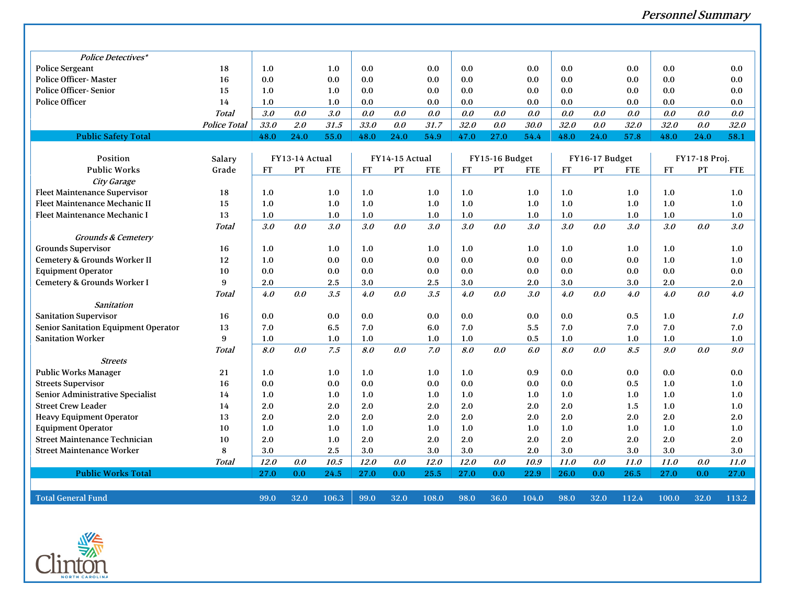| <b>Police Detectives*</b>            |                     |           |                |            |           |                |            |      |                |            |      |                |             |       |               |             |
|--------------------------------------|---------------------|-----------|----------------|------------|-----------|----------------|------------|------|----------------|------------|------|----------------|-------------|-------|---------------|-------------|
| <b>Police Sergeant</b>               | 18                  | 1.0       |                | 1.0        | 0.0       |                | 0.0        | 0.0  |                | 0.0        | 0.0  |                | 0.0         | 0.0   |               | 0.0         |
| <b>Police Officer-Master</b>         | 16                  | 0.0       |                | 0.0        | 0.0       |                | 0.0        | 0.0  |                | 0.0        | 0.0  |                | 0.0         | 0.0   |               | 0.0         |
| <b>Police Officer-Senior</b>         | 15                  | 1.0       |                | 1.0        | 0.0       |                | 0.0        | 0.0  |                | 0.0        | 0.0  |                | 0.0         | 0.0   |               | 0.0         |
| <b>Police Officer</b>                | 14                  | 1.0       |                | 1.0        | 0.0       |                | 0.0        | 0.0  |                | 0.0        | 0.0  |                | 0.0         | 0.0   |               | 0.0         |
|                                      | <b>Total</b>        | 3.0       | 0.0            | 3.0        | 0.0       | 0.0            | 0.0        | 0.0  | 0.0            | 0.0        | 0.0  | 0.0            | 0.0         | 0.0   | 0.0           | 0.0         |
|                                      | <b>Police Total</b> | 33.0      | 2.0            | 31.5       | 33.0      | 0.0            | 31.7       | 32.0 | 0.0            | 30.0       | 32.0 | 0.0            | 32.0        | 32.0  | 0.0           | 32.0        |
| <b>Public Safety Total</b>           |                     | 48.0      | 24.0           | 55.0       | 48.0      | 24.0           | 54.9       | 47.0 | 27.0           | 54.4       | 48.0 | 24.0           | 57.8        | 48.0  | 24.0          | 58.1        |
|                                      |                     |           |                |            |           |                |            |      |                |            |      |                |             |       |               |             |
| Position                             | Salary              |           | FY13-14 Actual |            |           | FY14-15 Actual |            |      | FY15-16 Budget |            |      | FY16-17 Budget |             |       | FY17-18 Proj. |             |
| <b>Public Works</b>                  | Grade               | <b>FT</b> | PT             | <b>FTE</b> | <b>FT</b> | PT             | <b>FTE</b> | FT   | PT             | <b>FTE</b> | FT   | PT             | <b>FTE</b>  | FT    | PT            | <b>FTE</b>  |
| City Garage                          |                     |           |                |            |           |                |            |      |                |            |      |                |             |       |               |             |
| <b>Fleet Maintenance Supervisor</b>  | 18                  | 1.0       |                | 1.0        | 1.0       |                | 1.0        | 1.0  |                | 1.0        | 1.0  |                | 1.0         | 1.0   |               | 1.0         |
| Fleet Maintenance Mechanic II        | 15                  | 1.0       |                | 1.0        | 1.0       |                | 1.0        | 1.0  |                | 1.0        | 1.0  |                | 1.0         | 1.0   |               | 1.0         |
| Fleet Maintenance Mechanic I         | 13                  | 1.0       |                | 1.0        | 1.0       |                | 1.0        | 1.0  |                | 1.0        | 1.0  |                | 1.0         | 1.0   |               | 1.0         |
|                                      | <b>Total</b>        | 3.0       | 0.0            | 3.0        | 3.0       | 0.0            | 3.0        | 3.0  | 0.0            | 3.0        | 3.0  | 0.0            | 3.0         | 3.0   | 0.0           | 3.0         |
| <b>Grounds &amp; Cemetery</b>        |                     |           |                |            |           |                |            |      |                |            |      |                |             |       |               |             |
| <b>Grounds Supervisor</b>            | 16                  | 1.0       |                | 1.0        | 1.0       |                | 1.0        | 1.0  |                | 1.0        | 1.0  |                | 1.0         | 1.0   |               | 1.0         |
| Cemetery & Grounds Worker II         | 12                  | 1.0       |                | 0.0        | 0.0       |                | 0.0        | 0.0  |                | 0.0        | 0.0  |                | 0.0         | 1.0   |               | 1.0         |
| <b>Equipment Operator</b>            | 10                  | 0.0       |                | 0.0        | 0.0       |                | 0.0        | 0.0  |                | 0.0        | 0.0  |                | 0.0         | 0.0   |               | 0.0         |
| Cemetery & Grounds Worker I          | 9                   | 2.0       |                | 2.5        | 3.0       |                | 2.5        | 3.0  |                | 2.0        | 3.0  |                | 3.0         | 2.0   |               | 2.0         |
|                                      | <b>Total</b>        | 4.0       | 0.0            | 3.5        | 4.0       | 0.0            | 3.5        | 4.0  | 0.0            | 3.0        | 4.0  | 0.0            | 4.0         | 4.0   | 0.0           | 4.0         |
| <b>Sanitation</b>                    |                     |           |                |            |           |                |            |      |                |            |      |                |             |       |               |             |
| <b>Sanitation Supervisor</b>         | 16                  | 0.0       |                | 0.0        | 0.0       |                | 0.0        | 0.0  |                | 0.0        | 0.0  |                | 0.5         | 1.0   |               | 1.0         |
| Senior Sanitation Equipment Operator | 13                  | 7.0       |                | 6.5        | 7.0       |                | 6.0        | 7.0  |                | 5.5        | 7.0  |                | 7.0         | 7.0   |               | 7.0         |
| <b>Sanitation Worker</b>             | 9                   | 1.0       |                | 1.0        | 1.0       |                | 1.0        | 1.0  |                | 0.5        | 1.0  |                | 1.0         | 1.0   |               | 1.0         |
|                                      | <b>Total</b>        | 8.0       | 0.0            | 7.5        | 8.0       | 0.0            | 7.0        | 8.0  | 0.0            | 6.0        | 8.0  | 0.0            | 8.5         | 9.0   | 0.0           | 9.0         |
| <b>Streets</b>                       |                     |           |                |            |           |                |            |      |                |            |      |                |             |       |               |             |
| <b>Public Works Manager</b>          | 21                  | 1.0       |                | 1.0        | 1.0       |                | 1.0        | 1.0  |                | 0.9        | 0.0  |                | 0.0         | 0.0   |               | 0.0         |
| <b>Streets Supervisor</b>            | 16                  | 0.0       |                | 0.0        | 0.0       |                | 0.0        | 0.0  |                | 0.0        | 0.0  |                | 0.5         | 1.0   |               | 1.0         |
| Senior Administrative Specialist     | 14                  | 1.0       |                | 1.0        | 1.0       |                | 1.0        | 1.0  |                | 1.0        | 1.0  |                | 1.0         | 1.0   |               | 1.0         |
| <b>Street Crew Leader</b>            | 14                  | 2.0       |                | 2.0        | 2.0       |                | 2.0        | 2.0  |                | 2.0        | 2.0  |                | 1.5         | 1.0   |               | 1.0         |
| <b>Heavy Equipment Operator</b>      | 13                  | 2.0       |                | 2.0        | 2.0       |                | 2.0        | 2.0  |                | 2.0        | 2.0  |                | 2.0         | 2.0   |               | 2.0         |
| <b>Equipment Operator</b>            | 10                  | 1.0       |                | 1.0        | 1.0       |                | 1.0        | 1.0  |                | 1.0        | 1.0  |                | 1.0         | 1.0   |               | 1.0         |
| <b>Street Maintenance Technician</b> | 10                  | 2.0       |                | 1.0        | 2.0       |                | 2.0        | 2.0  |                | 2.0        | 2.0  |                | 2.0         | 2.0   |               | 2.0         |
| <b>Street Maintenance Worker</b>     | 8                   | 3.0       |                | 2.5        | 3.0       |                | 3.0        | 3.0  |                | 2.0        | 3.0  |                | 3.0         | 3.0   |               | 3.0         |
|                                      | <b>Total</b>        | 12.0      | 0.0            | 10.5       | 12.0      | 0.0            | 12.0       | 12.0 | 0.0            | 10.9       | 11.0 | 0.0            | <i>11.0</i> | 11.0  | 0.0           | <i>11.0</i> |
| <b>Public Works Total</b>            |                     | 27.0      | 0.0            | 24.5       | 27.0      | 0.0            | 25.5       | 27.0 | 0.0            | 22.9       | 26.0 | 0.0            | 26.5        | 27.0  | 0.0           | 27.0        |
|                                      |                     |           |                |            |           |                |            |      |                |            |      |                |             |       |               |             |
| <b>Total General Fund</b>            |                     | 99.0      | 32.0           | 106.3      | 99.0      | 32.0           | 108.0      | 98.0 | 36.0           | 104.0      | 98.0 | 32.0           | 112.4       | 100.0 | 32.0          | 113.2       |